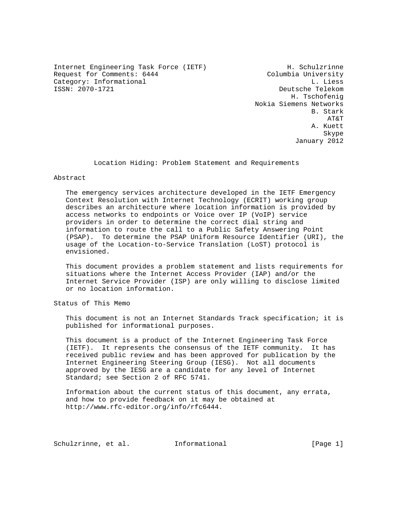Internet Engineering Task Force (IETF) The Music H. Schulzrinne<br>Request for Comments: 6444 Columbia University Request for Comments: 6444 Category: Informational and L. Liess<br>
ISSN: 2070-1721 Category: Deutsche Telekom

Deutsche Telekom H. Tschofenig Nokia Siemens Networks B. Stark B. Stark B. Stark B. Stark B. Stark B. Stark B. Stark B. Stark B. Stark B. Stark B. Stark B. Stark B. Stark B. Stark B. Stark B. Stark B. Stark B. Stark B. Stark B. Stark B. Stark B. Stark B. Stark B. Stark B. Sta AT&T A. Kuett Skype and the state of the state of the state of the state of the state of the state of the state of the state of the state of the state of the state of the state of the state of the state of the state of the state of the January 2012

Location Hiding: Problem Statement and Requirements

## Abstract

 The emergency services architecture developed in the IETF Emergency Context Resolution with Internet Technology (ECRIT) working group describes an architecture where location information is provided by access networks to endpoints or Voice over IP (VoIP) service providers in order to determine the correct dial string and information to route the call to a Public Safety Answering Point (PSAP). To determine the PSAP Uniform Resource Identifier (URI), the usage of the Location-to-Service Translation (LoST) protocol is envisioned.

 This document provides a problem statement and lists requirements for situations where the Internet Access Provider (IAP) and/or the Internet Service Provider (ISP) are only willing to disclose limited or no location information.

Status of This Memo

 This document is not an Internet Standards Track specification; it is published for informational purposes.

 This document is a product of the Internet Engineering Task Force (IETF). It represents the consensus of the IETF community. It has received public review and has been approved for publication by the Internet Engineering Steering Group (IESG). Not all documents approved by the IESG are a candidate for any level of Internet Standard; see Section 2 of RFC 5741.

 Information about the current status of this document, any errata, and how to provide feedback on it may be obtained at http://www.rfc-editor.org/info/rfc6444.

Schulzrinne, et al. 1nformational [Page 1]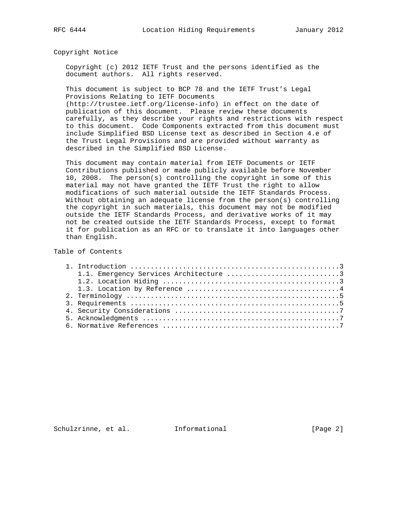Copyright Notice

 Copyright (c) 2012 IETF Trust and the persons identified as the document authors. All rights reserved.

 This document is subject to BCP 78 and the IETF Trust's Legal Provisions Relating to IETF Documents (http://trustee.ietf.org/license-info) in effect on the date of publication of this document. Please review these documents carefully, as they describe your rights and restrictions with respect to this document. Code Components extracted from this document must include Simplified BSD License text as described in Section 4.e of the Trust Legal Provisions and are provided without warranty as described in the Simplified BSD License.

 This document may contain material from IETF Documents or IETF Contributions published or made publicly available before November 10, 2008. The person(s) controlling the copyright in some of this material may not have granted the IETF Trust the right to allow modifications of such material outside the IETF Standards Process. Without obtaining an adequate license from the person(s) controlling the copyright in such materials, this document may not be modified outside the IETF Standards Process, and derivative works of it may not be created outside the IETF Standards Process, except to format it for publication as an RFC or to translate it into languages other than English.

## Table of Contents

| 1.1. Emergency Services Architecture 3 |
|----------------------------------------|
|                                        |
|                                        |
|                                        |
|                                        |
|                                        |
|                                        |
|                                        |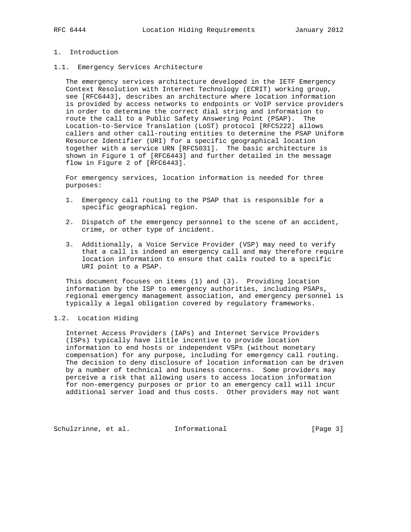## 1. Introduction

1.1. Emergency Services Architecture

 The emergency services architecture developed in the IETF Emergency Context Resolution with Internet Technology (ECRIT) working group, see [RFC6443], describes an architecture where location information is provided by access networks to endpoints or VoIP service providers in order to determine the correct dial string and information to route the call to a Public Safety Answering Point (PSAP). The Location-to-Service Translation (LoST) protocol [RFC5222] allows callers and other call-routing entities to determine the PSAP Uniform Resource Identifier (URI) for a specific geographical location together with a service URN [RFC5031]. The basic architecture is shown in Figure 1 of [RFC6443] and further detailed in the message flow in Figure 2 of [RFC6443].

 For emergency services, location information is needed for three purposes:

- 1. Emergency call routing to the PSAP that is responsible for a specific geographical region.
- 2. Dispatch of the emergency personnel to the scene of an accident, crime, or other type of incident.
- 3. Additionally, a Voice Service Provider (VSP) may need to verify that a call is indeed an emergency call and may therefore require location information to ensure that calls routed to a specific URI point to a PSAP.

 This document focuses on items (1) and (3). Providing location information by the ISP to emergency authorities, including PSAPs, regional emergency management association, and emergency personnel is typically a legal obligation covered by regulatory frameworks.

## 1.2. Location Hiding

 Internet Access Providers (IAPs) and Internet Service Providers (ISPs) typically have little incentive to provide location information to end hosts or independent VSPs (without monetary compensation) for any purpose, including for emergency call routing. The decision to deny disclosure of location information can be driven by a number of technical and business concerns. Some providers may perceive a risk that allowing users to access location information for non-emergency purposes or prior to an emergency call will incur additional server load and thus costs. Other providers may not want

Schulzrinne, et al. Informational [Page 3]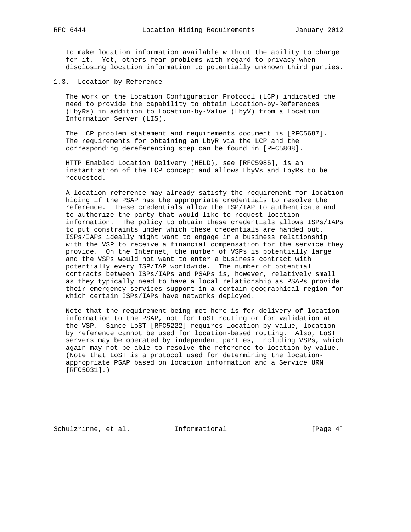to make location information available without the ability to charge for it. Yet, others fear problems with regard to privacy when disclosing location information to potentially unknown third parties.

1.3. Location by Reference

 The work on the Location Configuration Protocol (LCP) indicated the need to provide the capability to obtain Location-by-References (LbyRs) in addition to Location-by-Value (LbyV) from a Location Information Server (LIS).

 The LCP problem statement and requirements document is [RFC5687]. The requirements for obtaining an LbyR via the LCP and the corresponding dereferencing step can be found in [RFC5808].

 HTTP Enabled Location Delivery (HELD), see [RFC5985], is an instantiation of the LCP concept and allows LbyVs and LbyRs to be requested.

 A location reference may already satisfy the requirement for location hiding if the PSAP has the appropriate credentials to resolve the reference. These credentials allow the ISP/IAP to authenticate and to authorize the party that would like to request location information. The policy to obtain these credentials allows ISPs/IAPs to put constraints under which these credentials are handed out. ISPs/IAPs ideally might want to engage in a business relationship with the VSP to receive a financial compensation for the service they provide. On the Internet, the number of VSPs is potentially large and the VSPs would not want to enter a business contract with potentially every ISP/IAP worldwide. The number of potential contracts between ISPs/IAPs and PSAPs is, however, relatively small as they typically need to have a local relationship as PSAPs provide their emergency services support in a certain geographical region for which certain ISPs/IAPs have networks deployed.

 Note that the requirement being met here is for delivery of location information to the PSAP, not for LoST routing or for validation at the VSP. Since LoST [RFC5222] requires location by value, location by reference cannot be used for location-based routing. Also, LoST servers may be operated by independent parties, including VSPs, which again may not be able to resolve the reference to location by value. (Note that LoST is a protocol used for determining the location appropriate PSAP based on location information and a Service URN [RFC5031].)

Schulzrinne, et al. 1nformational [Page 4]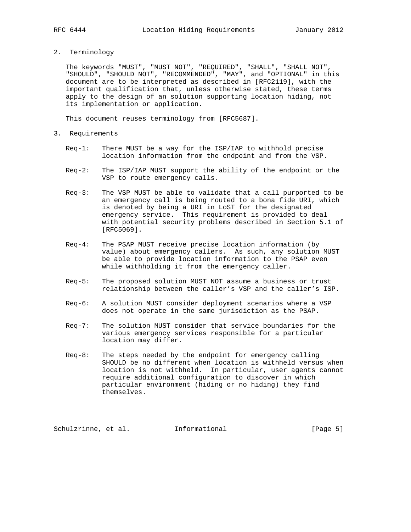2. Terminology

 The keywords "MUST", "MUST NOT", "REQUIRED", "SHALL", "SHALL NOT", "SHOULD", "SHOULD NOT", "RECOMMENDED", "MAY", and "OPTIONAL" in this document are to be interpreted as described in [RFC2119], with the important qualification that, unless otherwise stated, these terms apply to the design of an solution supporting location hiding, not its implementation or application.

This document reuses terminology from [RFC5687].

- 3. Requirements
	- Req-1: There MUST be a way for the ISP/IAP to withhold precise location information from the endpoint and from the VSP.
	- Req-2: The ISP/IAP MUST support the ability of the endpoint or the VSP to route emergency calls.
	- Req-3: The VSP MUST be able to validate that a call purported to be an emergency call is being routed to a bona fide URI, which is denoted by being a URI in LoST for the designated emergency service. This requirement is provided to deal with potential security problems described in Section 5.1 of [RFC5069].
	- Req-4: The PSAP MUST receive precise location information (by value) about emergency callers. As such, any solution MUST be able to provide location information to the PSAP even while withholding it from the emergency caller.
	- Req-5: The proposed solution MUST NOT assume a business or trust relationship between the caller's VSP and the caller's ISP.
	- Req-6: A solution MUST consider deployment scenarios where a VSP does not operate in the same jurisdiction as the PSAP.
	- Req-7: The solution MUST consider that service boundaries for the various emergency services responsible for a particular location may differ.
	- Req-8: The steps needed by the endpoint for emergency calling SHOULD be no different when location is withheld versus when location is not withheld. In particular, user agents cannot require additional configuration to discover in which particular environment (hiding or no hiding) they find themselves.

Schulzrinne, et al. Informational [Page 5]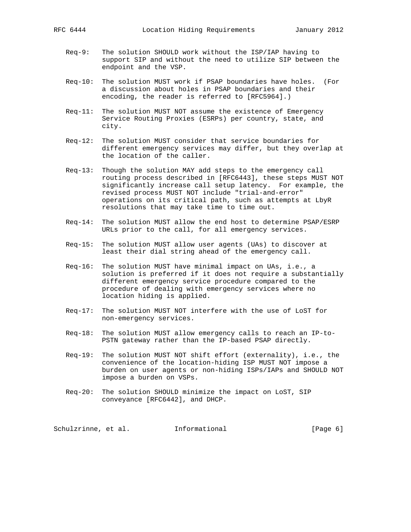- Req-9: The solution SHOULD work without the ISP/IAP having to support SIP and without the need to utilize SIP between the endpoint and the VSP.
- Req-10: The solution MUST work if PSAP boundaries have holes. (For a discussion about holes in PSAP boundaries and their encoding, the reader is referred to [RFC5964].)
- Req-11: The solution MUST NOT assume the existence of Emergency Service Routing Proxies (ESRPs) per country, state, and city.
- Req-12: The solution MUST consider that service boundaries for different emergency services may differ, but they overlap at the location of the caller.
- Req-13: Though the solution MAY add steps to the emergency call routing process described in [RFC6443], these steps MUST NOT significantly increase call setup latency. For example, the revised process MUST NOT include "trial-and-error" operations on its critical path, such as attempts at LbyR resolutions that may take time to time out.
- Req-14: The solution MUST allow the end host to determine PSAP/ESRP URLs prior to the call, for all emergency services.
- Req-15: The solution MUST allow user agents (UAs) to discover at least their dial string ahead of the emergency call.
- Req-16: The solution MUST have minimal impact on UAs, i.e., a solution is preferred if it does not require a substantially different emergency service procedure compared to the procedure of dealing with emergency services where no location hiding is applied.
- Req-17: The solution MUST NOT interfere with the use of LoST for non-emergency services.
- Req-18: The solution MUST allow emergency calls to reach an IP-to- PSTN gateway rather than the IP-based PSAP directly.
- Req-19: The solution MUST NOT shift effort (externality), i.e., the convenience of the location-hiding ISP MUST NOT impose a burden on user agents or non-hiding ISPs/IAPs and SHOULD NOT impose a burden on VSPs.
- Req-20: The solution SHOULD minimize the impact on LoST, SIP conveyance [RFC6442], and DHCP.

Schulzrinne, et al. 1nformational (Page 6)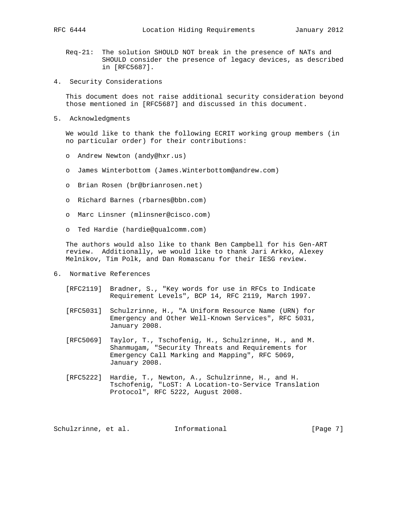- Req-21: The solution SHOULD NOT break in the presence of NATs and SHOULD consider the presence of legacy devices, as described in [RFC5687].
- 4. Security Considerations

 This document does not raise additional security consideration beyond those mentioned in [RFC5687] and discussed in this document.

5. Acknowledgments

 We would like to thank the following ECRIT working group members (in no particular order) for their contributions:

- o Andrew Newton (andy@hxr.us)
- o James Winterbottom (James.Winterbottom@andrew.com)
- o Brian Rosen (br@brianrosen.net)
- o Richard Barnes (rbarnes@bbn.com)
- o Marc Linsner (mlinsner@cisco.com)
- o Ted Hardie (hardie@qualcomm.com)

 The authors would also like to thank Ben Campbell for his Gen-ART review. Additionally, we would like to thank Jari Arkko, Alexey Melnikov, Tim Polk, and Dan Romascanu for their IESG review.

- 6. Normative References
	- [RFC2119] Bradner, S., "Key words for use in RFCs to Indicate Requirement Levels", BCP 14, RFC 2119, March 1997.
	- [RFC5031] Schulzrinne, H., "A Uniform Resource Name (URN) for Emergency and Other Well-Known Services", RFC 5031, January 2008.
	- [RFC5069] Taylor, T., Tschofenig, H., Schulzrinne, H., and M. Shanmugam, "Security Threats and Requirements for Emergency Call Marking and Mapping", RFC 5069, January 2008.
	- [RFC5222] Hardie, T., Newton, A., Schulzrinne, H., and H. Tschofenig, "LoST: A Location-to-Service Translation Protocol", RFC 5222, August 2008.

Schulzrinne, et al. 1nformational 1999 [Page 7]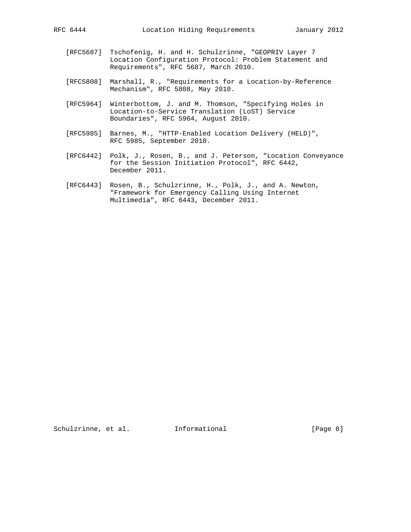- [RFC5687] Tschofenig, H. and H. Schulzrinne, "GEOPRIV Layer 7 Location Configuration Protocol: Problem Statement and Requirements", RFC 5687, March 2010.
- [RFC5808] Marshall, R., "Requirements for a Location-by-Reference Mechanism", RFC 5808, May 2010.
- [RFC5964] Winterbottom, J. and M. Thomson, "Specifying Holes in Location-to-Service Translation (LoST) Service Boundaries", RFC 5964, August 2010.
- [RFC5985] Barnes, M., "HTTP-Enabled Location Delivery (HELD)", RFC 5985, September 2010.
- [RFC6442] Polk, J., Rosen, B., and J. Peterson, "Location Conveyance for the Session Initiation Protocol", RFC 6442, December 2011.
- [RFC6443] Rosen, B., Schulzrinne, H., Polk, J., and A. Newton, "Framework for Emergency Calling Using Internet Multimedia", RFC 6443, December 2011.